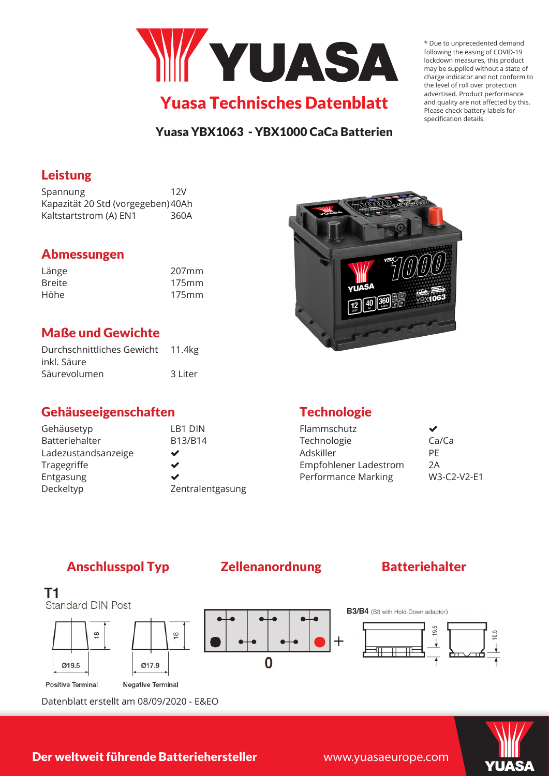

### Yuasa YBX1063 - YBX1000 CaCa Batterien

### Leistung

Spannung 12V Kapazität 20 Std (vorgegeben)40Ah Kaltstartstrom (A) EN1 360A

## Abmessungen

| Länge         | 207mm |
|---------------|-------|
| <b>Breite</b> | 175mm |
| Höhe          | 175mm |

## Maße und Gewichte

| Durchschnittliches Gewicht 11.4kg |         |
|-----------------------------------|---------|
| inkl. Säure                       |         |
| Säurevolumen                      | 3 Liter |

## Gehäuseeigenschaften

| Gehäusetyp          | LB1 DIN          |
|---------------------|------------------|
| Batteriehalter      | B13/B14          |
| Ladezustandsanzeige | ✔                |
| Tragegriffe         | ✔                |
| Entgasung           | ✔                |
| Deckeltyp           | Zentralentgasung |
|                     |                  |

# **Technologie**

| W3-C2-V2-F1 |
|-------------|
|             |

## Anschlusspol Typ Zellenanordnung Batteriehalter



Datenblatt erstellt am 08/09/2020 - E&EO



\* Due to unprecedented demand following the easing of COVID-19 lockdown measures, this product may be supplied without a state of charge indicator and not conform to the level of roll over protection advertised. Product performance and quality are not affected by this. Please check battery labels for specification details.

Der weltweit führende Batteriehersteller

www.yuasaeurope.com